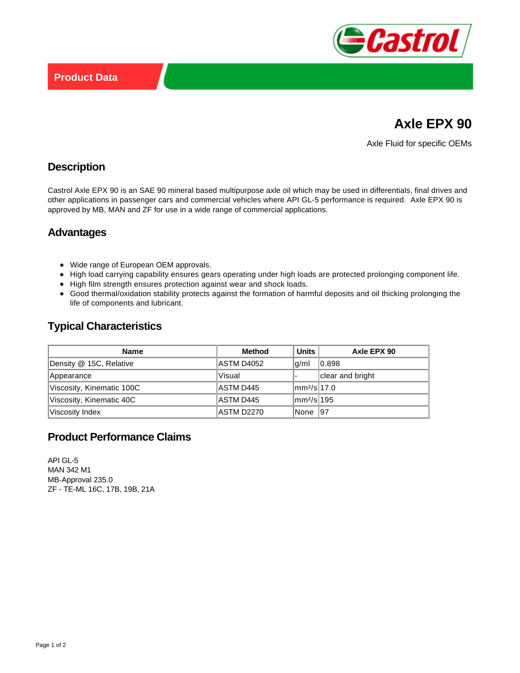

# **Axle EPX 90**

Axle Fluid for specific OEMs

#### **Description**

Castrol Axle EPX 90 is an SAE 90 mineral based multipurpose axle oil which may be used in differentials, final drives and other applications in passenger cars and commercial vehicles where API GL-5 performance is required. Axle EPX 90 is approved by MB, MAN and ZF for use in a wide range of commercial applications.

### **Advantages**

- Wide range of European OEM approvals.
- High load carrying capability ensures gears operating under high loads are protected prolonging component life.
- High film strength ensures protection against wear and shock loads.
- Good thermal/oxidation stability protects against the formation of harmful deposits and oil thicking prolonging the life of components and lubricant.

# **Typical Characteristics**

| <b>Name</b>               | <b>Method</b> | <b>Units</b>            | Axle EPX 90      |
|---------------------------|---------------|-------------------------|------------------|
| Density @ 15C, Relative   | ASTM D4052    | g/ml                    | 10.898           |
| Appearance                | Visual        |                         | clear and bright |
| Viscosity, Kinematic 100C | ASTM D445     | mm <sup>2</sup> /sl17.0 |                  |
| Viscosity, Kinematic 40C  | ASTM D445     | mm <sup>2</sup> /sl195  |                  |
| Viscosity Index           | ASTM D2270    | None 197                |                  |

## **Product Performance Claims**

API GL-5 MAN 342 M1 MB-Approval 235.0 ZF - TE-ML 16C, 17B, 19B, 21A